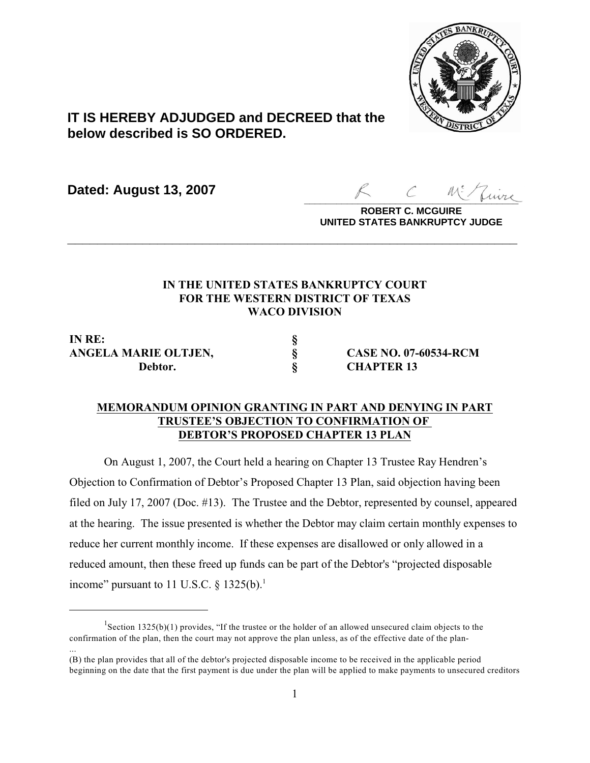

# **IT IS HEREBY ADJUDGED and DECREED that the below described is SO ORDERED.**

**Dated: August 13, 2007**

 $z_{\mu \nu \nu}$ 

**ROBERT C. MCGUIRE UNITED STATES BANKRUPTCY JUDGE**

# **IN THE UNITED STATES BANKRUPTCY COURT FOR THE WESTERN DISTRICT OF TEXAS WACO DIVISION**

**\_\_\_\_\_\_\_\_\_\_\_\_\_\_\_\_\_\_\_\_\_\_\_\_\_\_\_\_\_\_\_\_\_\_\_\_\_\_\_\_\_\_\_\_\_\_\_\_\_\_\_\_\_\_\_\_\_\_\_\_**

**IN RE: § ANGELA MARIE OLTJEN, § CASE NO. 07-60534-RCM Debtor. § CHAPTER 13**

...

## **MEMORANDUM OPINION GRANTING IN PART AND DENYING IN PART TRUSTEE'S OBJECTION TO CONFIRMATION OF DEBTOR'S PROPOSED CHAPTER 13 PLAN**

On August 1, 2007, the Court held a hearing on Chapter 13 Trustee Ray Hendren's Objection to Confirmation of Debtor's Proposed Chapter 13 Plan, said objection having been filed on July 17, 2007 (Doc. #13). The Trustee and the Debtor, represented by counsel, appeared at the hearing. The issue presented is whether the Debtor may claim certain monthly expenses to reduce her current monthly income. If these expenses are disallowed or only allowed in a reduced amount, then these freed up funds can be part of the Debtor's "projected disposable income" pursuant to 11 U.S.C.  $\delta$  1325(b).<sup>1</sup>

Section 1325(b)(1) provides, "If the trustee or the holder of an allowed unsecured claim objects to the confirmation of the plan, then the court may not approve the plan unless, as of the effective date of the plan-

<sup>(</sup>B) the plan provides that all of the debtor's projected disposable income to be received in the applicable period beginning on the date that the first payment is due under the plan will be applied to make payments to unsecured creditors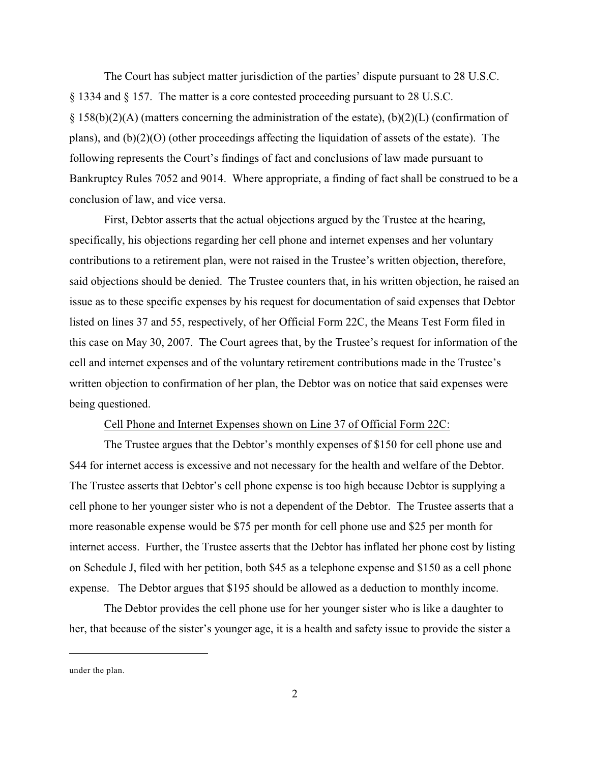The Court has subject matter jurisdiction of the parties' dispute pursuant to 28 U.S.C. § 1334 and § 157. The matter is a core contested proceeding pursuant to 28 U.S.C.  $\S$  158(b)(2)(A) (matters concerning the administration of the estate), (b)(2)(L) (confirmation of plans), and (b)(2)(O) (other proceedings affecting the liquidation of assets of the estate). The following represents the Court's findings of fact and conclusions of law made pursuant to Bankruptcy Rules 7052 and 9014. Where appropriate, a finding of fact shall be construed to be a conclusion of law, and vice versa.

First, Debtor asserts that the actual objections argued by the Trustee at the hearing, specifically, his objections regarding her cell phone and internet expenses and her voluntary contributions to a retirement plan, were not raised in the Trustee's written objection, therefore, said objections should be denied. The Trustee counters that, in his written objection, he raised an issue as to these specific expenses by his request for documentation of said expenses that Debtor listed on lines 37 and 55, respectively, of her Official Form 22C, the Means Test Form filed in this case on May 30, 2007. The Court agrees that, by the Trustee's request for information of the cell and internet expenses and of the voluntary retirement contributions made in the Trustee's written objection to confirmation of her plan, the Debtor was on notice that said expenses were being questioned.

## Cell Phone and Internet Expenses shown on Line 37 of Official Form 22C:

The Trustee argues that the Debtor's monthly expenses of \$150 for cell phone use and \$44 for internet access is excessive and not necessary for the health and welfare of the Debtor. The Trustee asserts that Debtor's cell phone expense is too high because Debtor is supplying a cell phone to her younger sister who is not a dependent of the Debtor. The Trustee asserts that a more reasonable expense would be \$75 per month for cell phone use and \$25 per month for internet access. Further, the Trustee asserts that the Debtor has inflated her phone cost by listing on Schedule J, filed with her petition, both \$45 as a telephone expense and \$150 as a cell phone expense. The Debtor argues that \$195 should be allowed as a deduction to monthly income.

The Debtor provides the cell phone use for her younger sister who is like a daughter to her, that because of the sister's younger age, it is a health and safety issue to provide the sister a

under the plan.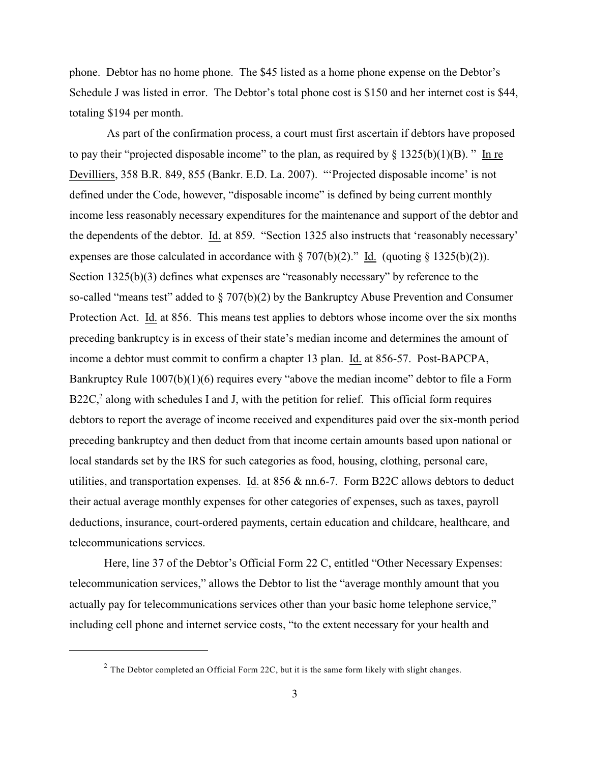phone. Debtor has no home phone. The \$45 listed as a home phone expense on the Debtor's Schedule J was listed in error. The Debtor's total phone cost is \$150 and her internet cost is \$44, totaling \$194 per month.

 As part of the confirmation process, a court must first ascertain if debtors have proposed to pay their "projected disposable income" to the plan, as required by  $\S 1325(b)(1)(B)$ ." In re Devilliers, 358 B.R. 849, 855 (Bankr. E.D. La. 2007). "'Projected disposable income' is not defined under the Code, however, "disposable income" is defined by being current monthly income less reasonably necessary expenditures for the maintenance and support of the debtor and the dependents of the debtor. Id. at 859. "Section 1325 also instructs that 'reasonably necessary' expenses are those calculated in accordance with  $\S 707(b)(2)$ ." Id. (quoting  $\S 1325(b)(2)$ ). Section 1325(b)(3) defines what expenses are "reasonably necessary" by reference to the so-called "means test" added to § 707(b)(2) by the Bankruptcy Abuse Prevention and Consumer Protection Act. Id. at 856. This means test applies to debtors whose income over the six months preceding bankruptcy is in excess of their state's median income and determines the amount of income a debtor must commit to confirm a chapter 13 plan. Id. at 856-57. Post-BAPCPA, Bankruptcy Rule  $1007(b)(1)(6)$  requires every "above the median income" debtor to file a Form  $B22C<sub>s</sub><sup>2</sup>$  along with schedules I and J, with the petition for relief. This official form requires debtors to report the average of income received and expenditures paid over the six-month period preceding bankruptcy and then deduct from that income certain amounts based upon national or local standards set by the IRS for such categories as food, housing, clothing, personal care, utilities, and transportation expenses. Id. at  $856 \& \text{nn.6-7}$ . Form B22C allows debtors to deduct their actual average monthly expenses for other categories of expenses, such as taxes, payroll deductions, insurance, court-ordered payments, certain education and childcare, healthcare, and telecommunications services.

Here, line 37 of the Debtor's Official Form 22 C, entitled "Other Necessary Expenses: telecommunication services," allows the Debtor to list the "average monthly amount that you actually pay for telecommunications services other than your basic home telephone service," including cell phone and internet service costs, "to the extent necessary for your health and

 $2$  The Debtor completed an Official Form 22C, but it is the same form likely with slight changes.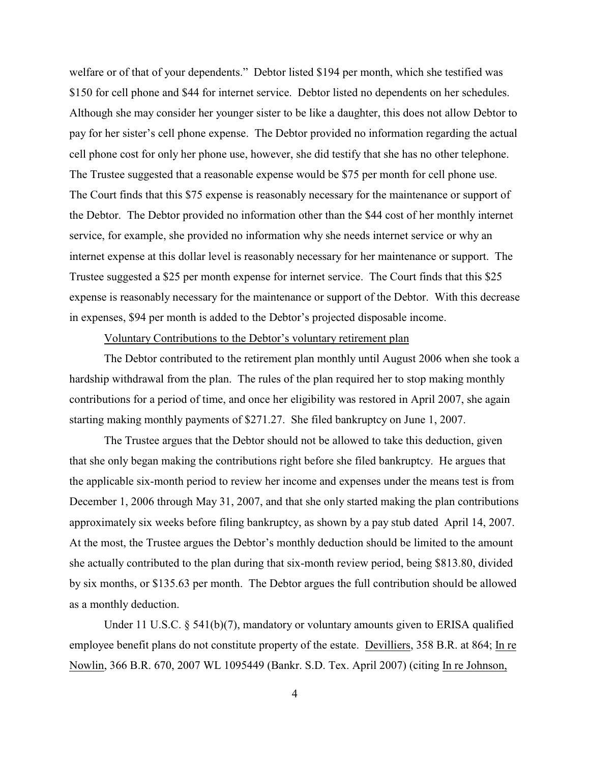welfare or of that of your dependents." Debtor listed \$194 per month, which she testified was \$150 for cell phone and \$44 for internet service. Debtor listed no dependents on her schedules. Although she may consider her younger sister to be like a daughter, this does not allow Debtor to pay for her sister's cell phone expense. The Debtor provided no information regarding the actual cell phone cost for only her phone use, however, she did testify that she has no other telephone. The Trustee suggested that a reasonable expense would be \$75 per month for cell phone use. The Court finds that this \$75 expense is reasonably necessary for the maintenance or support of the Debtor. The Debtor provided no information other than the \$44 cost of her monthly internet service, for example, she provided no information why she needs internet service or why an internet expense at this dollar level is reasonably necessary for her maintenance or support. The Trustee suggested a \$25 per month expense for internet service. The Court finds that this \$25 expense is reasonably necessary for the maintenance or support of the Debtor. With this decrease in expenses, \$94 per month is added to the Debtor's projected disposable income.

### Voluntary Contributions to the Debtor's voluntary retirement plan

The Debtor contributed to the retirement plan monthly until August 2006 when she took a hardship withdrawal from the plan. The rules of the plan required her to stop making monthly contributions for a period of time, and once her eligibility was restored in April 2007, she again starting making monthly payments of \$271.27. She filed bankruptcy on June 1, 2007.

The Trustee argues that the Debtor should not be allowed to take this deduction, given that she only began making the contributions right before she filed bankruptcy. He argues that the applicable six-month period to review her income and expenses under the means test is from December 1, 2006 through May 31, 2007, and that she only started making the plan contributions approximately six weeks before filing bankruptcy, as shown by a pay stub dated April 14, 2007. At the most, the Trustee argues the Debtor's monthly deduction should be limited to the amount she actually contributed to the plan during that six-month review period, being \$813.80, divided by six months, or \$135.63 per month. The Debtor argues the full contribution should be allowed as a monthly deduction.

Under 11 U.S.C. § 541(b)(7), mandatory or voluntary amounts given to ERISA qualified employee benefit plans do not constitute property of the estate. Devilliers, 358 B.R. at 864; In re Nowlin, 366 B.R. 670, 2007 WL 1095449 (Bankr. S.D. Tex. April 2007) (citing In re Johnson,